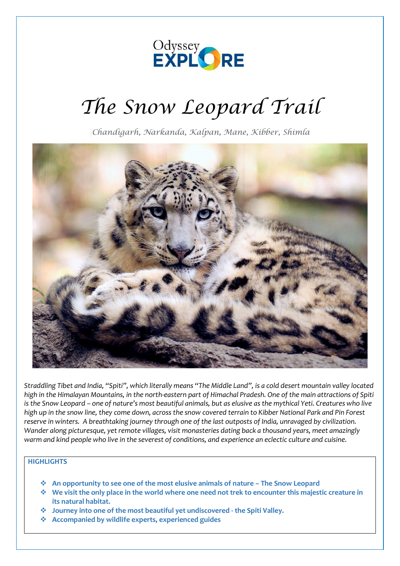

# *The Snow Leopard Trail*

*Chandigarh, Narkanda, Kalpan, Mane, Kibber, Shimla*



*Straddling Tibet and India, "Spiti", which literally means "The Middle Land", is a cold desert mountain valley located high in the Himalayan Mountains, in the north-eastern part of Himachal Pradesh. One of the main attractions of Spiti is the Snow Leopard – one of nature's most beautiful animals, but as elusive as the mythical Yeti. Creatures who live high up in the snow line, they come down, across the snow covered terrain to Kibber National Park and Pin Forest reserve in winters. A breathtaking journey through one of the last outposts of India, unravaged by civilization. Wander along picturesque, yet remote villages, visit monasteries dating back a thousand years, meet amazingly warm and kind people who live in the severest of conditions, and experience an eclectic culture and cuisine.*

## **HIGHLIGHTS**

- ❖ **An opportunity to see one of the most elusive animals of nature – The Snow Leopard**
- ❖ **We visit the only place in the world where one need not trek to encounter this majestic creature in its natural habitat.**
- ❖ **Journey into one of the most beautiful yet undiscovered - the Spiti Valley.**
- ❖ **Accompanied by wildlife experts, experienced guides**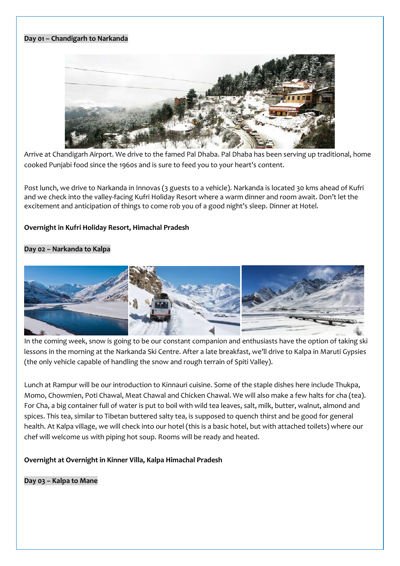#### **Day 01 – Chandigarh to Narkanda**



Arrive at Chandigarh Airport. We drive to the famed Pal Dhaba. Pal Dhaba has been serving up traditional, home cooked Punjabi food since the 1960s and is sure to feed you to your heart's content.

Post lunch, we drive to Narkanda in Innovas (3 guests to a vehicle). Narkanda is located 30 kms ahead of Kufri and we check into the valley-facing Kufri Holiday Resort where a warm dinner and room await. Don't let the excitement and anticipation of things to come rob you of a good night's sleep. Dinner at Hotel.

## **Overnight in Kufri Holiday Resort, Himachal Pradesh**

## **Day 02 – Narkanda to Kalpa**



In the coming week, snow is going to be our constant companion and enthusiasts have the option of taking ski lessons in the morning at the Narkanda Ski Centre. After a late breakfast, we'll drive to Kalpa in Maruti Gypsies (the only vehicle capable of handling the snow and rough terrain of Spiti Valley).

Lunch at Rampur will be our introduction to Kinnauri cuisine. Some of the staple dishes here include Thukpa, Momo, Chowmien, Poti Chawal, Meat Chawal and Chicken Chawal. We will also make a few halts for cha (tea). For Cha, a big container full of water is put to boil with wild tea leaves, salt, milk, butter, walnut, almond and spices. This tea, similar to Tibetan buttered salty tea, is supposed to quench thirst and be good for general health. At Kalpa village, we will check into our hotel (this is a basic hotel, but with attached toilets) where our chef will welcome us with piping hot soup. Rooms will be ready and heated.

**Overnight at Overnight in Kinner Villa, Kalpa Himachal Pradesh**

**Day 03 – Kalpa to Mane**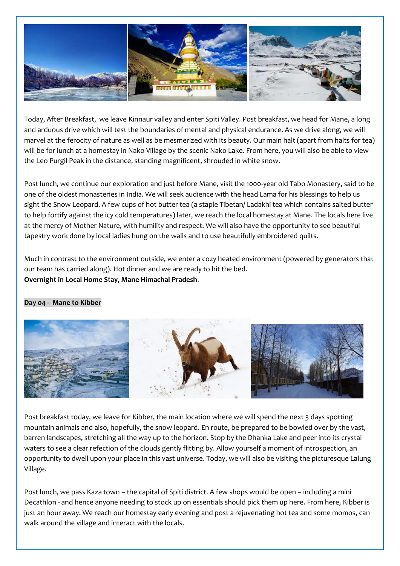

Today, After Breakfast, we leave Kinnaur valley and enter Spiti Valley. Post breakfast, we head for Mane, a long and arduous drive which will test the boundaries of mental and physical endurance. As we drive along, we will marvel at the ferocity of nature as well as be mesmerized with its beauty. Our main halt (apart from halts for tea) will be for lunch at a homestay in Nako Village by the scenic Nako Lake. From here, you will also be able to view the Leo Purgil Peak in the distance, standing magnificent, shrouded in white snow.

Post lunch, we continue our exploration and just before Mane, visit the 1000-year old Tabo Monastery, said to be one of the oldest monasteries in India. We will seek audience with the head Lama for his blessings to help us sight the Snow Leopard. A few cups of hot butter tea (a staple Tibetan/ Ladakhi tea which contains salted butter to help fortify against the icy cold temperatures) later, we reach the local homestay at Mane. The locals here live at the mercy of Mother Nature, with humility and respect. We will also have the opportunity to see beautiful tapestry work done by local ladies hung on the walls and to use beautifully embroidered quilts.

Much in contrast to the environment outside, we enter a cozy heated environment (powered by generators that our team has carried along). Hot dinner and we are ready to hit the bed. **Overnight in Local Home Stay, Mane Himachal Pradesh**.

#### **Day 04 - Mane to Kibber**



Post breakfast today, we leave for Kibber, the main location where we will spend the next 3 days spotting mountain animals and also, hopefully, the snow leopard. En route, be prepared to be bowled over by the vast, barren landscapes, stretching all the way up to the horizon. Stop by the Dhanka Lake and peer into its crystal waters to see a clear refection of the clouds gently flitting by. Allow yourself a moment of introspection, an opportunity to dwell upon your place in this vast universe. Today, we will also be visiting the picturesque Lalung Village.

Post lunch, we pass Kaza town – the capital of Spiti district. A few shops would be open – including a mini Decathlon - and hence anyone needing to stock up on essentials should pick them up here. From here, Kibber is just an hour away. We reach our homestay early evening and post a rejuvenating hot tea and some momos, can walk around the village and interact with the locals.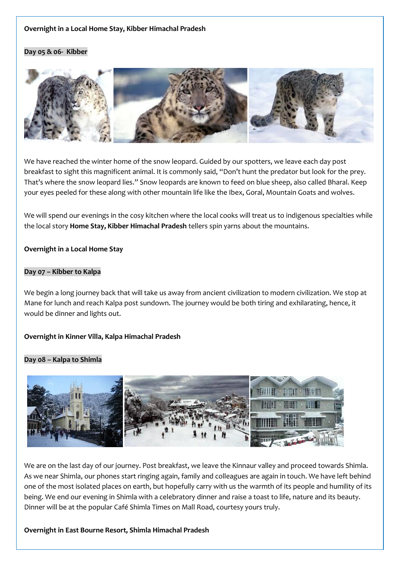## **Overnight in a Local Home Stay, Kibber Himachal Pradesh**

#### **Day 05 & 06- Kibber**



We have reached the winter home of the snow leopard. Guided by our spotters, we leave each day post breakfast to sight this magnificent animal. It is commonly said, "Don't hunt the predator but look for the prey. That's where the snow leopard lies." Snow leopards are known to feed on blue sheep, also called Bharal. Keep your eyes peeled for these along with other mountain life like the Ibex, Goral, Mountain Goats and wolves.

We will spend our evenings in the cosy kitchen where the local cooks will treat us to indigenous specialties while the local story **Home Stay, Kibber Himachal Pradesh** tellers spin yarns about the mountains.

#### **Overnight in a Local Home Stay**

#### **Day 07 – Kibber to Kalpa**

We begin a long journey back that will take us away from ancient civilization to modern civilization. We stop at Mane for lunch and reach Kalpa post sundown. The journey would be both tiring and exhilarating, hence, it would be dinner and lights out.

## **Overnight in Kinner Villa, Kalpa Himachal Pradesh**

#### **Day 08 – Kalpa to Shimla**



We are on the last day of our journey. Post breakfast, we leave the Kinnaur valley and proceed towards Shimla. As we near Shimla, our phones start ringing again, family and colleagues are again in touch. We have left behind one of the most isolated places on earth, but hopefully carry with us the warmth of its people and humility of its being. We end our evening in Shimla with a celebratory dinner and raise a toast to life, nature and its beauty. Dinner will be at the popular Café Shimla Times on Mall Road, courtesy yours truly.

#### **Overnight in East Bourne Resort, Shimla Himachal Pradesh**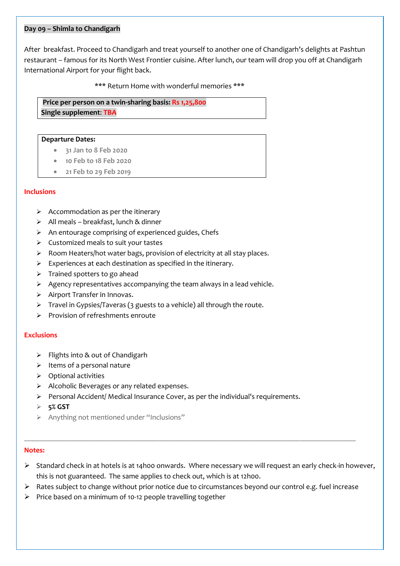#### **Day 09 – Shimla to Chandigarh**

After breakfast. Proceed to Chandigarh and treat yourself to another one of Chandigarh's delights at Pashtun restaurant – famous for its North West Frontier cuisine. After lunch, our team will drop you off at Chandigarh International Airport for your flight back.

\*\*\* Return Home with wonderful memories \*\*\*

**Price per person on a twin-sharing basis: Rs 1,25,800 Single supplement**: **TBA**

#### **Departure Dates:**

- **31 Jan to 8 Feb 2020**
- **10 Feb to 18 Feb 2020**
- **21 Feb to 29 Feb 2019**

#### **Inclusions**

- $\triangleright$  Accommodation as per the itinerary
- ➢ All meals breakfast, lunch & dinner
- ➢ An entourage comprising of experienced guides, Chefs
- ➢ Customized meals to suit your tastes
- ➢ Room Heaters/hot water bags, provision of electricity at all stay places.
- ➢ Experiences at each destination as specified in the itinerary.
- ➢ Trained spotters to go ahead
- ➢ Agency representatives accompanying the team always in a lead vehicle.
- ➢ Airport Transfer in Innovas.
- ➢ Travel in Gypsies/Taveras (3 guests to a vehicle) all through the route.
- ➢ Provision of refreshments enroute

#### **Exclusions**

- ➢ Flights into & out of Chandigarh
- ➢ Items of a personal nature
- ➢ Optional activities
- ➢ Alcoholic Beverages or any related expenses.
- $\triangleright$  Personal Accident/ Medical Insurance Cover, as per the individual's requirements.
- ➢ **5% GST**
- ➢ Anything not mentioned under "Inclusions"

#### **Notes:**

- ➢ Standard check in at hotels is at 14h00 onwards. Where necessary we will request an early check-in however, this is not guaranteed. The same applies to check out, which is at 12h00.
- ➢ Rates subject to change without prior notice due to circumstances beyond our control e.g. fuel increase

\_\_\_\_\_\_\_\_\_\_\_\_\_\_\_\_\_\_\_\_\_\_\_\_\_\_\_\_\_\_\_\_\_\_\_\_\_\_\_\_\_\_\_\_\_\_\_\_\_\_\_\_\_\_\_\_\_\_\_\_\_\_\_\_\_\_\_\_\_\_\_\_\_\_\_\_\_\_\_\_\_\_\_\_\_\_\_\_\_

➢ Price based on a minimum of 10-12 people travelling together